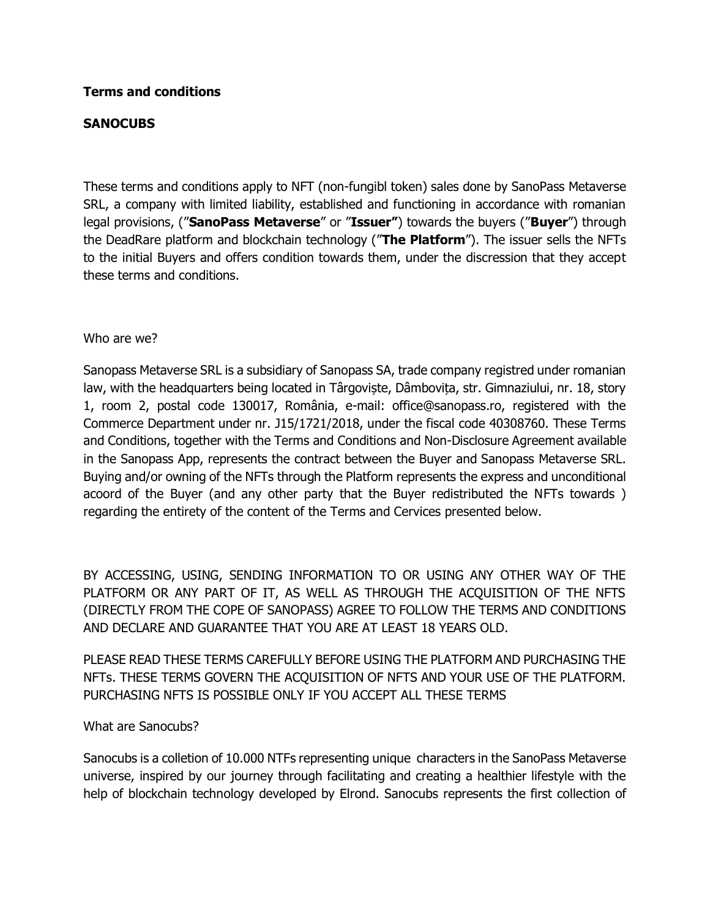#### **Terms and conditions**

### **SANOCUBS**

These terms and conditions apply to NFT (non-fungibl token) sales done by SanoPass Metaverse SRL, a company with limited liability, established and functioning in accordance with romanian legal provisions, ("**SanoPass Metaverse**" or "**Issuer"**) towards the buyers ("**Buyer**") through the DeadRare platform and blockchain technology ("**The Platform**"). The issuer sells the NFTs to the initial Buyers and offers condition towards them, under the discression that they accept these terms and conditions.

#### Who are we?

Sanopass Metaverse SRL is a subsidiary of Sanopass SA, trade company registred under romanian law, with the headquarters being located in Târgoviște, Dâmbovița, str. Gimnaziului, nr. 18, story 1, room 2, postal code 130017, România, e-mail: office@sanopass.ro, registered with the Commerce Department under nr. J15/1721/2018, under the fiscal code 40308760. These Terms and Conditions, together with the Terms and Conditions and Non-Disclosure Agreement available in the Sanopass App, represents the contract between the Buyer and Sanopass Metaverse SRL. Buying and/or owning of the NFTs through the Platform represents the express and unconditional acoord of the Buyer (and any other party that the Buyer redistributed the NFTs towards ) regarding the entirety of the content of the Terms and Cervices presented below.

BY ACCESSING, USING, SENDING INFORMATION TO OR USING ANY OTHER WAY OF THE PLATFORM OR ANY PART OF IT, AS WELL AS THROUGH THE ACQUISITION OF THE NFTS (DIRECTLY FROM THE COPE OF SANOPASS) AGREE TO FOLLOW THE TERMS AND CONDITIONS AND DECLARE AND GUARANTEE THAT YOU ARE AT LEAST 18 YEARS OLD.

PLEASE READ THESE TERMS CAREFULLY BEFORE USING THE PLATFORM AND PURCHASING THE NFTs. THESE TERMS GOVERN THE ACQUISITION OF NFTS AND YOUR USE OF THE PLATFORM. PURCHASING NFTS IS POSSIBLE ONLY IF YOU ACCEPT ALL THESE TERMS

#### What are Sanocubs?

Sanocubs is a colletion of 10.000 NTFs representing unique characters in the SanoPass Metaverse universe, inspired by our journey through facilitating and creating a healthier lifestyle with the help of blockchain technology developed by Elrond. Sanocubs represents the first collection of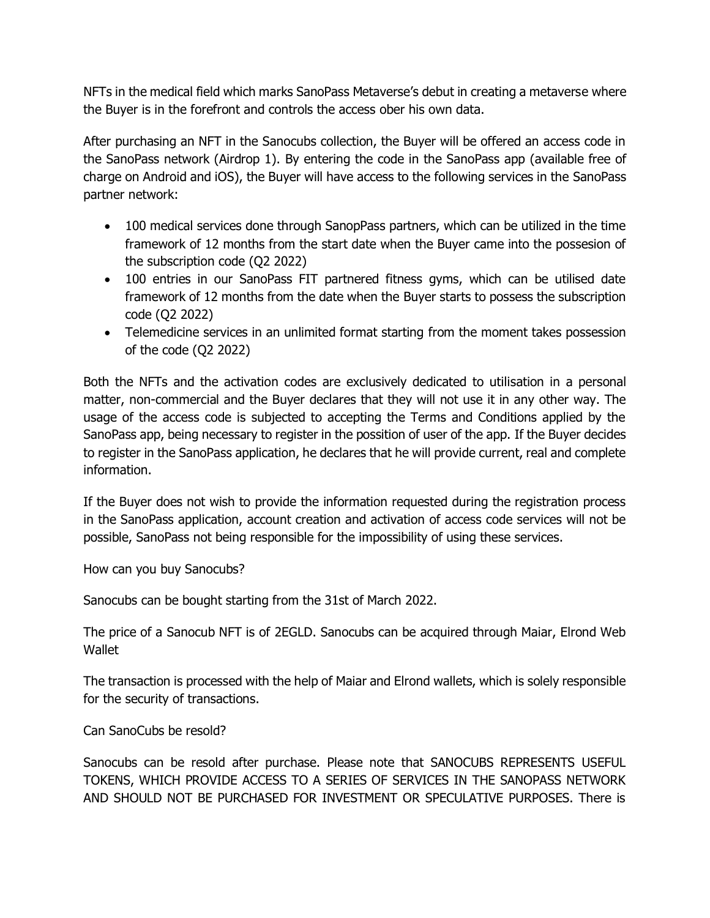NFTs in the medical field which marks SanoPass Metaverse's debut in creating a metaverse where the Buyer is in the forefront and controls the access ober his own data.

After purchasing an NFT in the Sanocubs collection, the Buyer will be offered an access code in the SanoPass network (Airdrop 1). By entering the code in the SanoPass app (available free of charge on Android and iOS), the Buyer will have access to the following services in the SanoPass partner network:

- 100 medical services done through SanopPass partners, which can be utilized in the time framework of 12 months from the start date when the Buyer came into the possesion of the subscription code (Q2 2022)
- 100 entries in our SanoPass FIT partnered fitness gyms, which can be utilised date framework of 12 months from the date when the Buyer starts to possess the subscription code (Q2 2022)
- Telemedicine services in an unlimited format starting from the moment takes possession of the code (Q2 2022)

Both the NFTs and the activation codes are exclusively dedicated to utilisation in a personal matter, non-commercial and the Buyer declares that they will not use it in any other way. The usage of the access code is subjected to accepting the Terms and Conditions applied by the SanoPass app, being necessary to register in the possition of user of the app. If the Buyer decides to register in the SanoPass application, he declares that he will provide current, real and complete information.

If the Buyer does not wish to provide the information requested during the registration process in the SanoPass application, account creation and activation of access code services will not be possible, SanoPass not being responsible for the impossibility of using these services.

How can you buy Sanocubs?

Sanocubs can be bought starting from the 31st of March 2022.

The price of a Sanocub NFT is of 2EGLD. Sanocubs can be acquired through Maiar, Elrond Web **Wallet** 

The transaction is processed with the help of Maiar and Elrond wallets, which is solely responsible for the security of transactions.

Can SanoCubs be resold?

Sanocubs can be resold after purchase. Please note that SANOCUBS REPRESENTS USEFUL TOKENS, WHICH PROVIDE ACCESS TO A SERIES OF SERVICES IN THE SANOPASS NETWORK AND SHOULD NOT BE PURCHASED FOR INVESTMENT OR SPECULATIVE PURPOSES. There is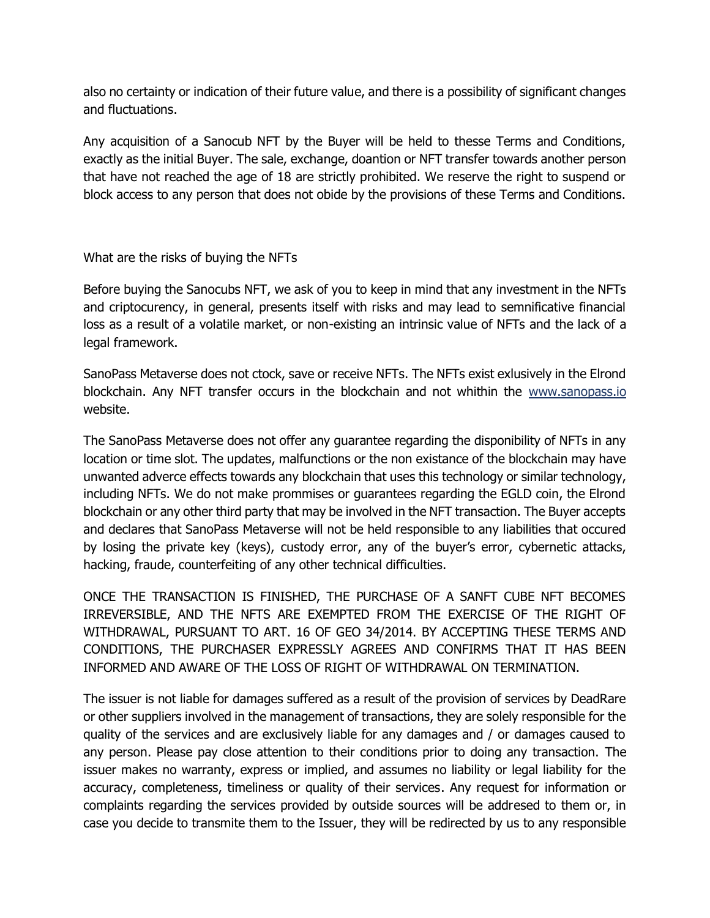also no certainty or indication of their future value, and there is a possibility of significant changes and fluctuations.

Any acquisition of a Sanocub NFT by the Buyer will be held to thesse Terms and Conditions, exactly as the initial Buyer. The sale, exchange, doantion or NFT transfer towards another person that have not reached the age of 18 are strictly prohibited. We reserve the right to suspend or block access to any person that does not obide by the provisions of these Terms and Conditions.

What are the risks of buying the NFTs

Before buying the Sanocubs NFT, we ask of you to keep in mind that any investment in the NFTs and criptocurency, in general, presents itself with risks and may lead to semnificative financial loss as a result of a volatile market, or non-existing an intrinsic value of NFTs and the lack of a legal framework.

SanoPass Metaverse does not ctock, save or receive NFTs. The NFTs exist exlusively in the Elrond blockchain. Any NFT transfer occurs in the blockchain and not whithin the [www.sanopass.io](http://www.sanopass.io/) website.

The SanoPass Metaverse does not offer any guarantee regarding the disponibility of NFTs in any location or time slot. The updates, malfunctions or the non existance of the blockchain may have unwanted adverce effects towards any blockchain that uses this technology or similar technology, including NFTs. We do not make prommises or guarantees regarding the EGLD coin, the Elrond blockchain or any other third party that may be involved in the NFT transaction. The Buyer accepts and declares that SanoPass Metaverse will not be held responsible to any liabilities that occured by losing the private key (keys), custody error, any of the buyer's error, cybernetic attacks, hacking, fraude, counterfeiting of any other technical difficulties.

ONCE THE TRANSACTION IS FINISHED, THE PURCHASE OF A SANFT CUBE NFT BECOMES IRREVERSIBLE, AND THE NFTS ARE EXEMPTED FROM THE EXERCISE OF THE RIGHT OF WITHDRAWAL, PURSUANT TO ART. 16 OF GEO 34/2014. BY ACCEPTING THESE TERMS AND CONDITIONS, THE PURCHASER EXPRESSLY AGREES AND CONFIRMS THAT IT HAS BEEN INFORMED AND AWARE OF THE LOSS OF RIGHT OF WITHDRAWAL ON TERMINATION.

The issuer is not liable for damages suffered as a result of the provision of services by DeadRare or other suppliers involved in the management of transactions, they are solely responsible for the quality of the services and are exclusively liable for any damages and / or damages caused to any person. Please pay close attention to their conditions prior to doing any transaction. The issuer makes no warranty, express or implied, and assumes no liability or legal liability for the accuracy, completeness, timeliness or quality of their services. Any request for information or complaints regarding the services provided by outside sources will be addresed to them or, in case you decide to transmite them to the Issuer, they will be redirected by us to any responsible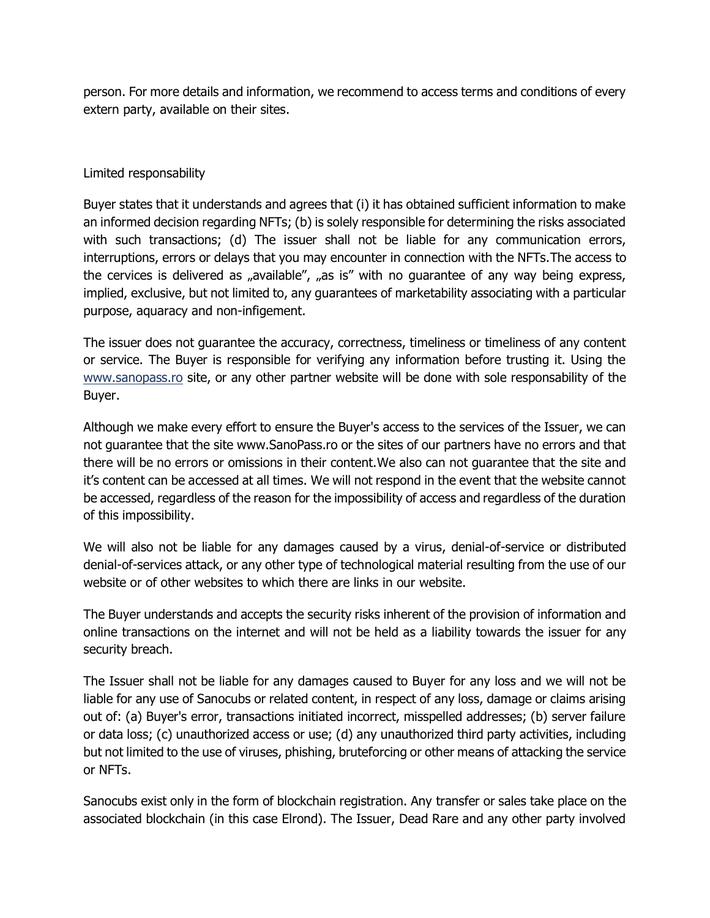person. For more details and information, we recommend to access terms and conditions of every extern party, available on their sites.

# Limited responsability

Buyer states that it understands and agrees that (i) it has obtained sufficient information to make an informed decision regarding NFTs; (b) is solely responsible for determining the risks associated with such transactions; (d) The issuer shall not be liable for any communication errors, interruptions, errors or delays that you may encounter in connection with the NFTs.The access to the cervices is delivered as "available", "as is" with no guarantee of any way being express, implied, exclusive, but not limited to, any guarantees of marketability associating with a particular purpose, aquaracy and non-infigement.

The issuer does not guarantee the accuracy, correctness, timeliness or timeliness of any content or service. The Buyer is responsible for verifying any information before trusting it. Using the [www.sanopass.ro](http://www.sanopass.ro/) site, or any other partner website will be done with sole responsability of the Buyer.

Although we make every effort to ensure the Buyer's access to the services of the Issuer, we can not guarantee that the site www.SanoPass.ro or the sites of our partners have no errors and that there will be no errors or omissions in their content.We also can not guarantee that the site and it's content can be accessed at all times. We will not respond in the event that the website cannot be accessed, regardless of the reason for the impossibility of access and regardless of the duration of this impossibility.

We will also not be liable for any damages caused by a virus, denial-of-service or distributed denial-of-services attack, or any other type of technological material resulting from the use of our website or of other websites to which there are links in our website.

The Buyer understands and accepts the security risks inherent of the provision of information and online transactions on the internet and will not be held as a liability towards the issuer for any security breach.

The Issuer shall not be liable for any damages caused to Buyer for any loss and we will not be liable for any use of Sanocubs or related content, in respect of any loss, damage or claims arising out of: (a) Buyer's error, transactions initiated incorrect, misspelled addresses; (b) server failure or data loss; (c) unauthorized access or use; (d) any unauthorized third party activities, including but not limited to the use of viruses, phishing, bruteforcing or other means of attacking the service or NFTs.

Sanocubs exist only in the form of blockchain registration. Any transfer or sales take place on the associated blockchain (in this case Elrond). The Issuer, Dead Rare and any other party involved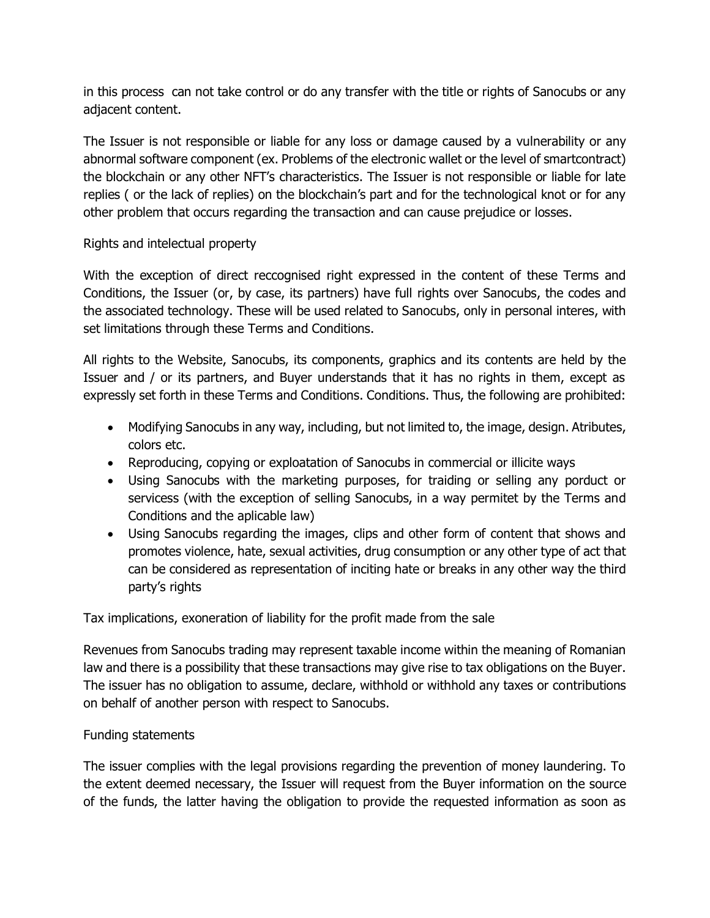in this process can not take control or do any transfer with the title or rights of Sanocubs or any adjacent content.

The Issuer is not responsible or liable for any loss or damage caused by a vulnerability or any abnormal software component (ex. Problems of the electronic wallet or the level of smartcontract) the blockchain or any other NFT's characteristics. The Issuer is not responsible or liable for late replies ( or the lack of replies) on the blockchain's part and for the technological knot or for any other problem that occurs regarding the transaction and can cause prejudice or losses.

# Rights and intelectual property

With the exception of direct reccognised right expressed in the content of these Terms and Conditions, the Issuer (or, by case, its partners) have full rights over Sanocubs, the codes and the associated technology. These will be used related to Sanocubs, only in personal interes, with set limitations through these Terms and Conditions.

All rights to the Website, Sanocubs, its components, graphics and its contents are held by the Issuer and / or its partners, and Buyer understands that it has no rights in them, except as expressly set forth in these Terms and Conditions. Conditions. Thus, the following are prohibited:

- Modifying Sanocubs in any way, including, but not limited to, the image, design. Atributes, colors etc.
- Reproducing, copying or exploatation of Sanocubs in commercial or illicite ways
- Using Sanocubs with the marketing purposes, for traiding or selling any porduct or servicess (with the exception of selling Sanocubs, in a way permitet by the Terms and Conditions and the aplicable law)
- Using Sanocubs regarding the images, clips and other form of content that shows and promotes violence, hate, sexual activities, drug consumption or any other type of act that can be considered as representation of inciting hate or breaks in any other way the third party's rights

Tax implications, exoneration of liability for the profit made from the sale

Revenues from Sanocubs trading may represent taxable income within the meaning of Romanian law and there is a possibility that these transactions may give rise to tax obligations on the Buyer. The issuer has no obligation to assume, declare, withhold or withhold any taxes or contributions on behalf of another person with respect to Sanocubs.

# Funding statements

The issuer complies with the legal provisions regarding the prevention of money laundering. To the extent deemed necessary, the Issuer will request from the Buyer information on the source of the funds, the latter having the obligation to provide the requested information as soon as